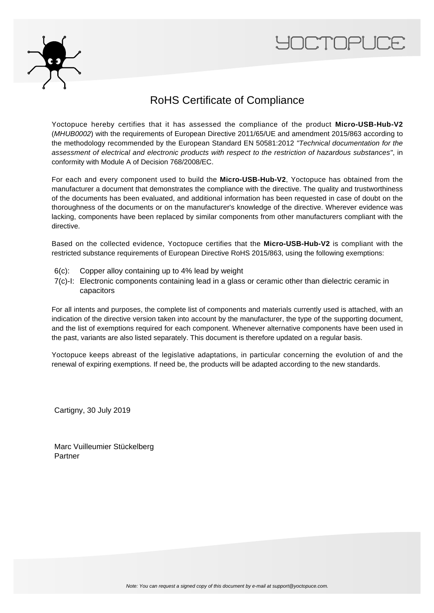



## RoHS Certificate of Compliance

Yoctopuce hereby certifies that it has assessed the compliance of the product **Micro-USB-Hub-V2** (MHUB0002) with the requirements of European Directive 2011/65/UE and amendment 2015/863 according to the methodology recommended by the European Standard EN 50581:2012 "Technical documentation for the assessment of electrical and electronic products with respect to the restriction of hazardous substances", in conformity with Module A of Decision 768/2008/EC.

For each and every component used to build the **Micro-USB-Hub-V2**, Yoctopuce has obtained from the manufacturer a document that demonstrates the compliance with the directive. The quality and trustworthiness of the documents has been evaluated, and additional information has been requested in case of doubt on the thoroughness of the documents or on the manufacturer's knowledge of the directive. Wherever evidence was lacking, components have been replaced by similar components from other manufacturers compliant with the directive.

Based on the collected evidence, Yoctopuce certifies that the **Micro-USB-Hub-V2** is compliant with the restricted substance requirements of European Directive RoHS 2015/863, using the following exemptions:

- 6(c): Copper alloy containing up to 4% lead by weight
- 7(c)-I: Electronic components containing lead in a glass or ceramic other than dielectric ceramic in capacitors

For all intents and purposes, the complete list of components and materials currently used is attached, with an indication of the directive version taken into account by the manufacturer, the type of the supporting document, and the list of exemptions required for each component. Whenever alternative components have been used in the past, variants are also listed separately. This document is therefore updated on a regular basis.

Yoctopuce keeps abreast of the legislative adaptations, in particular concerning the evolution of and the renewal of expiring exemptions. If need be, the products will be adapted according to the new standards.

Cartigny, 30 July 2019

Marc Vuilleumier Stückelberg Partner